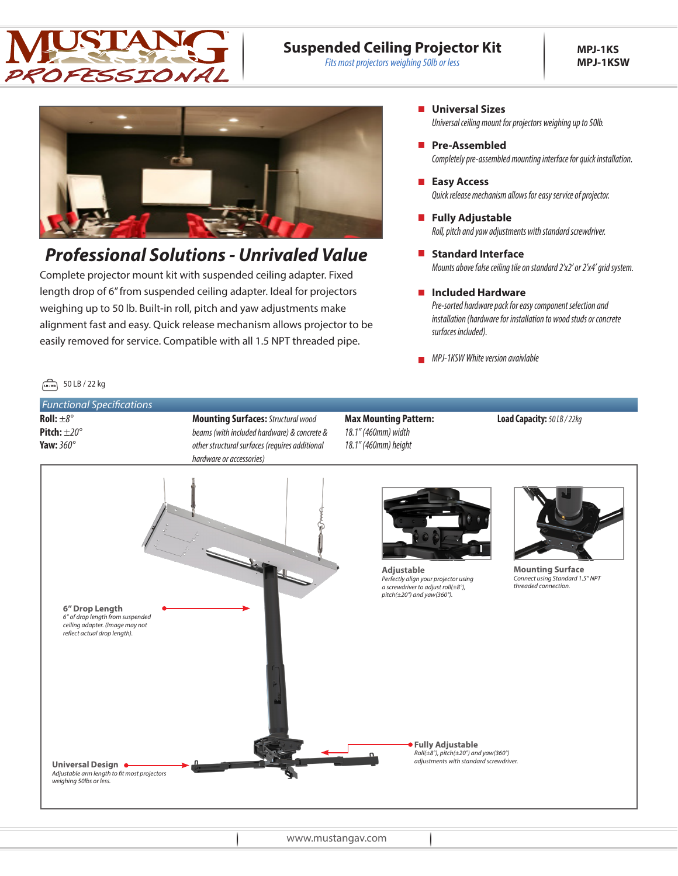

### **Suspended Ceiling Projector Kit**

*Fits most projectors weighing 50lb or less*



# *Professional Solutions - Unrivaled Value*

Complete projector mount kit with suspended ceiling adapter. Fixed length drop of 6" from suspended ceiling adapter. Ideal for projectors weighing up to 50 lb. Built-in roll, pitch and yaw adjustments make alignment fast and easy. Quick release mechanism allows projector to be easily removed for service. Compatible with all 1.5 NPT threaded pipe.

- **Universal Sizes** *Universal ceiling mount for projectors weighing up to 50lb.*
- **Pre-Assembled** *Completely pre-assembled mounting interface for quick installation.*
- **Easy Access** *Quick release mechanism allows for easy service of projector.*
- **Fully Adjustable** *Roll, pitch and yaw adjustments with standard screwdriver.*
- **Standard Interface** *Mounts above false ceiling tile on standard 2'x2' or 2'x4' grid system.*
- **Included Hardware** *Pre-sorted hardware pack for easy component selection and installation (hardware for installation to wood studs or concrete surfaces included).*
- **MPJ-1KSW White version avaivlable**

### $\sqrt{18/186}$  50 LB / 22 kg

**Roll:** *±8°* **Pitch:** *±20°* **Yaw:** *360° Functional Specifications*

**Mounting Surfaces:** *Structural wood beams (with included hardware) & concrete & other structural surfaces (requires additional hardware or accessories)*

#### **Max Mounting Pattern:** *18.1" (460mm) width 18.1" (460mm) height*

**Load Capacity:***50 LB / 22kg*



www.mustangav.com